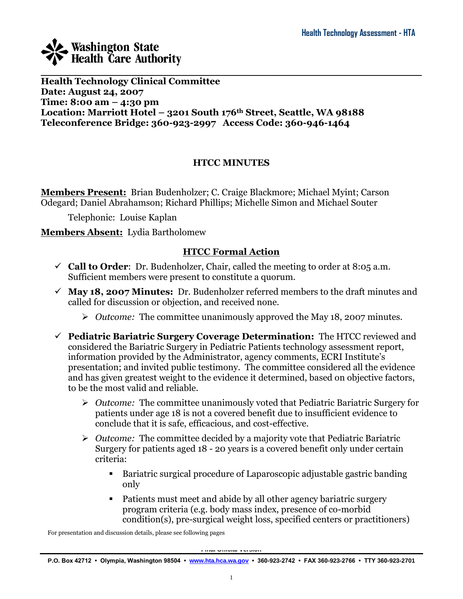

**Health Technology Clinical Committee Date: August 24, 2007 Time: 8:00 am – 4:30 pm Location: Marriott Hotel – 3201 South 176th Street, Seattle, WA 98188 Teleconference Bridge: 360-923-2997 Access Code: 360-946-1464**

### **HTCC MINUTES**

**Members Present:** Brian Budenholzer; C. Craige Blackmore; Michael Myint; Carson Odegard; Daniel Abrahamson; Richard Phillips; Michelle Simon and Michael Souter

Telephonic: Louise Kaplan

### **Members Absent:** Lydia Bartholomew

## **HTCC Formal Action**

- $\checkmark$  **Call to Order**: Dr. Budenholzer, Chair, called the meeting to order at 8:05 a.m. Sufficient members were present to constitute a quorum.
- **May 18, 2007 Minutes:** Dr. Budenholzer referred members to the draft minutes and called for discussion or objection, and received none.
	- *Outcome:* The committee unanimously approved the May 18, 2007 minutes.
- **Pediatric Bariatric Surgery Coverage Determination:** The HTCC reviewed and considered the Bariatric Surgery in Pediatric Patients technology assessment report, information provided by the Administrator, agency comments, ECRI Institute's presentation; and invited public testimony. The committee considered all the evidence and has given greatest weight to the evidence it determined, based on objective factors, to be the most valid and reliable.
	- *Outcome:* The committee unanimously voted that Pediatric Bariatric Surgery for patients under age 18 is not a covered benefit due to insufficient evidence to conclude that it is safe, efficacious, and cost-effective.
	- *Outcome:* The committee decided by a majority vote that Pediatric Bariatric Surgery for patients aged 18 - 20 years is a covered benefit only under certain criteria:
		- Bariatric surgical procedure of Laparoscopic adjustable gastric banding only
		- Patients must meet and abide by all other agency bariatric surgery program criteria (e.g. body mass index, presence of co-morbid condition(s), pre-surgical weight loss, specified centers or practitioners)

For presentation and discussion details, please see following pages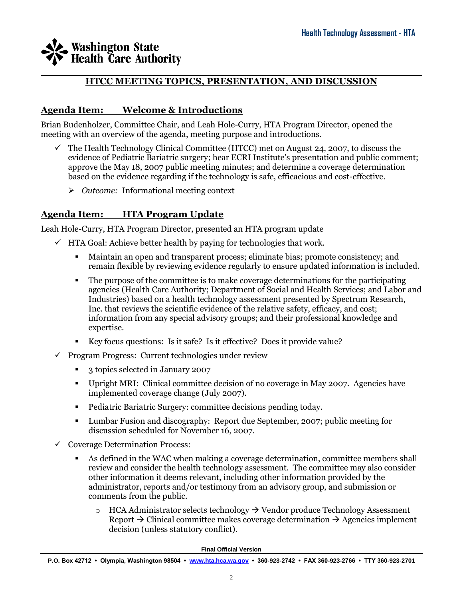### \_\_\_\_\_\_\_\_\_\_\_\_\_\_\_\_\_\_\_\_\_\_\_\_\_\_\_\_\_\_\_\_\_\_\_\_\_\_\_\_\_\_\_\_\_\_\_\_\_\_\_\_\_\_\_\_\_\_\_\_\_\_\_\_\_\_\_\_\_\_\_\_\_\_\_\_\_\_\_\_\_\_\_\_ **HTCC MEETING TOPICS, PRESENTATION, AND DISCUSSION**

### **Agenda Item: Welcome & Introductions**

Brian Budenholzer, Committee Chair, and Leah Hole-Curry, HTA Program Director, opened the meeting with an overview of the agenda, meeting purpose and introductions.

- $\checkmark$  The Health Technology Clinical Committee (HTCC) met on August 24, 2007, to discuss the evidence of Pediatric Bariatric surgery; hear ECRI Institute's presentation and public comment; approve the May 18, 2007 public meeting minutes; and determine a coverage determination based on the evidence regarding if the technology is safe, efficacious and cost-effective.
	- *Outcome:* Informational meeting context

## **Agenda Item: HTA Program Update**

Leah Hole-Curry, HTA Program Director, presented an HTA program update

- $\checkmark$  HTA Goal: Achieve better health by paying for technologies that work.
	- Maintain an open and transparent process; eliminate bias; promote consistency; and remain flexible by reviewing evidence regularly to ensure updated information is included.
	- The purpose of the committee is to make coverage determinations for the participating agencies (Health Care Authority; Department of Social and Health Services; and Labor and Industries) based on a health technology assessment presented by Spectrum Research, Inc. that reviews the scientific evidence of the relative safety, efficacy, and cost; information from any special advisory groups; and their professional knowledge and expertise.
	- Key focus questions: Is it safe? Is it effective? Does it provide value?
- $\checkmark$  Program Progress: Current technologies under review
	- 3 topics selected in January 2007
	- Upright MRI: Clinical committee decision of no coverage in May 2007. Agencies have implemented coverage change (July 2007).
	- Pediatric Bariatric Surgery: committee decisions pending today.
	- Lumbar Fusion and discography: Report due September, 2007; public meeting for discussion scheduled for November 16, 2007.
- $\checkmark$  Coverage Determination Process:
	- As defined in the WAC when making a coverage determination, committee members shall review and consider the health technology assessment. The committee may also consider other information it deems relevant, including other information provided by the administrator, reports and/or testimony from an advisory group, and submission or comments from the public.
		- $\circ$  HCA Administrator selects technology  $\rightarrow$  Vendor produce Technology Assessment Report  $\rightarrow$  Clinical committee makes coverage determination  $\rightarrow$  Agencies implement decision (unless statutory conflict).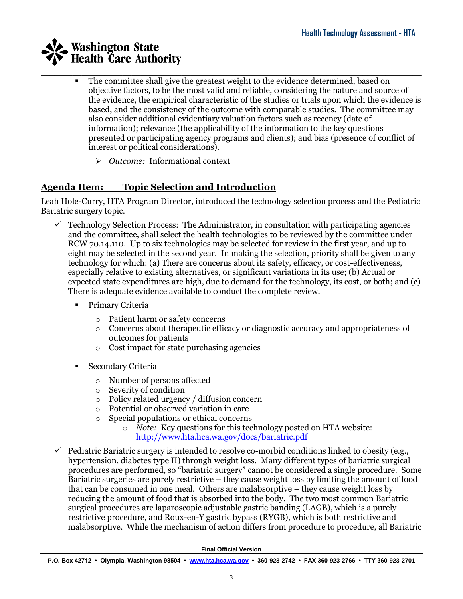- \_\_\_\_\_\_\_\_\_\_\_\_\_\_\_\_\_\_\_\_\_\_\_\_\_\_\_\_\_\_\_\_\_\_\_\_\_\_\_\_\_\_\_\_\_\_\_\_\_\_\_\_\_\_\_\_\_\_\_\_\_\_\_\_\_\_\_\_\_\_\_\_\_\_\_\_\_\_\_\_\_\_\_\_ The committee shall give the greatest weight to the evidence determined, based on objective factors, to be the most valid and reliable, considering the nature and source of the evidence, the empirical characteristic of the studies or trials upon which the evidence is based, and the consistency of the outcome with comparable studies. The committee may also consider additional evidentiary valuation factors such as recency (date of information); relevance (the applicability of the information to the key questions presented or participating agency programs and clients); and bias (presence of conflict of interest or political considerations).
	- *Outcome:* Informational context

## **Agenda Item: Topic Selection and Introduction**

Leah Hole-Curry, HTA Program Director, introduced the technology selection process and the Pediatric Bariatric surgery topic.

- $\checkmark$  Technology Selection Process: The Administrator, in consultation with participating agencies and the committee, shall select the health technologies to be reviewed by the committee under RCW 70.14.110. Up to six technologies may be selected for review in the first year, and up to eight may be selected in the second year. In making the selection, priority shall be given to any technology for which: (a) There are concerns about its safety, efficacy, or cost-effectiveness, especially relative to existing alternatives, or significant variations in its use; (b) Actual or expected state expenditures are high, due to demand for the technology, its cost, or both; and (c) There is adequate evidence available to conduct the complete review.
	- **•** Primary Criteria
		- o Patient harm or safety concerns
		- o Concerns about therapeutic efficacy or diagnostic accuracy and appropriateness of outcomes for patients
		- o Cost impact for state purchasing agencies
	- Secondary Criteria
		- o Number of persons affected
		- o Severity of condition
		- o Policy related urgency / diffusion concern
		- o Potential or observed variation in care
		- o Special populations or ethical concerns
			- o *Note:* Key questions for this technology posted on HTA website: <http://www.hta.hca.wa.gov/docs/bariatric.pdf>
- $\checkmark$  Pediatric Bariatric surgery is intended to resolve co-morbid conditions linked to obesity (e.g., hypertension, diabetes type II) through weight loss. Many different types of bariatric surgical procedures are performed, so "bariatric surgery" cannot be considered a single procedure. Some Bariatric surgeries are purely restrictive – they cause weight loss by limiting the amount of food that can be consumed in one meal. Others are malabsorptive – they cause weight loss by reducing the amount of food that is absorbed into the body. The two most common Bariatric surgical procedures are laparoscopic adjustable gastric banding (LAGB), which is a purely restrictive procedure, and Roux-en-Y gastric bypass (RYGB), which is both restrictive and malabsorptive. While the mechanism of action differs from procedure to procedure, all Bariatric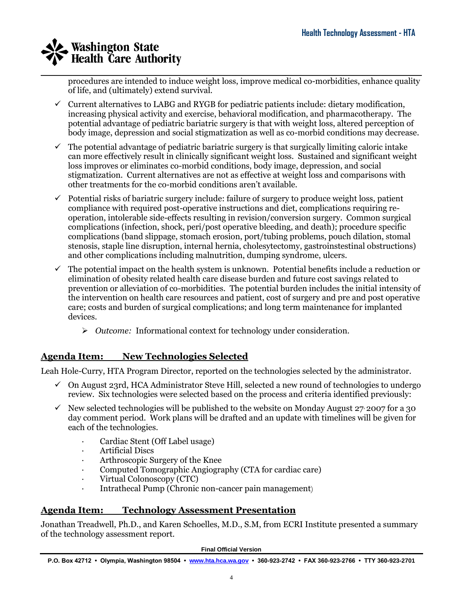\_\_\_\_\_\_\_\_\_\_\_\_\_\_\_\_\_\_\_\_\_\_\_\_\_\_\_\_\_\_\_\_\_\_\_\_\_\_\_\_\_\_\_\_\_\_\_\_\_\_\_\_\_\_\_\_\_\_\_\_\_\_\_\_\_\_\_\_\_\_\_\_\_\_\_\_\_\_\_\_\_\_\_\_ procedures are intended to induce weight loss, improve medical co-morbidities, enhance quality of life, and (ultimately) extend survival.

- $\checkmark$  Current alternatives to LABG and RYGB for pediatric patients include: dietary modification, increasing physical activity and exercise, behavioral modification, and pharmacotherapy. The potential advantage of pediatric bariatric surgery is that with weight loss, altered perception of body image, depression and social stigmatization as well as co-morbid conditions may decrease.
- $\checkmark$  The potential advantage of pediatric bariatric surgery is that surgically limiting caloric intake can more effectively result in clinically significant weight loss. Sustained and significant weight loss improves or eliminates co-morbid conditions, body image, depression, and social stigmatization. Current alternatives are not as effective at weight loss and comparisons with other treatments for the co-morbid conditions aren't available.
- $\checkmark$  Potential risks of bariatric surgery include: failure of surgery to produce weight loss, patient compliance with required post-operative instructions and diet, complications requiring reoperation, intolerable side-effects resulting in revision/conversion surgery. Common surgical complications (infection, shock, peri/post operative bleeding, and death); procedure specific complications (band slippage, stomach erosion, port/tubing problems, pouch dilation, stomal stenosis, staple line disruption, internal hernia, cholesytectomy, gastroinstestinal obstructions) and other complications including malnutrition, dumping syndrome, ulcers.
- The potential impact on the health system is unknown. Potential benefits include a reduction or elimination of obesity related health care disease burden and future cost savings related to prevention or alleviation of co-morbidities. The potential burden includes the initial intensity of the intervention on health care resources and patient, cost of surgery and pre and post operative care; costs and burden of surgical complications; and long term maintenance for implanted devices.
	- *Outcome:* Informational context for technology under consideration.

## **Agenda Item: New Technologies Selected**

Leah Hole-Curry, HTA Program Director, reported on the technologies selected by the administrator.

- $\checkmark$  On August 23rd, HCA Administrator Steve Hill, selected a new round of technologies to undergo review. Six technologies were selected based on the process and criteria identified previously:
- $\checkmark$  New selected technologies will be published to the website on Monday August 27, 2007 for a 30 day comment period. Work plans will be drafted and an update with timelines will be given for each of the technologies.
	- *·* Cardiac Stent (Off Label usage)
	- · Artificial Discs
	- · Arthroscopic Surgery of the Knee
	- Computed Tomographic Angiography (CTA for cardiac care)
	- · Virtual Colonoscopy (CTC)
	- · Intrathecal Pump (Chronic non-cancer pain management)

## **Agenda Item: Technology Assessment Presentation**

Jonathan Treadwell, Ph.D., and Karen Schoelles, M.D., S.M, from ECRI Institute presented a summary of the technology assessment report.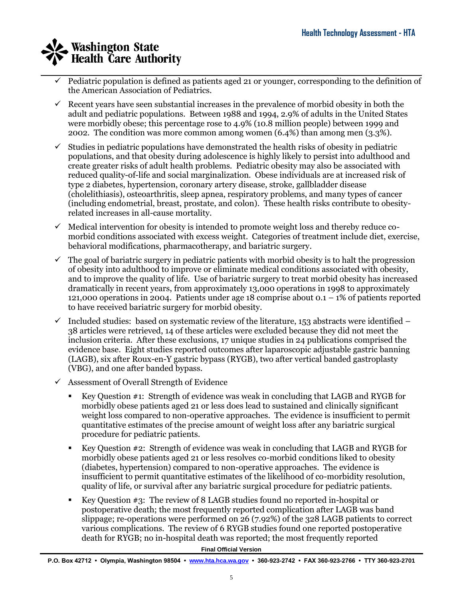- \_\_\_\_\_\_\_\_\_\_\_\_\_\_\_\_\_\_\_\_\_\_\_\_\_\_\_\_\_\_\_\_\_\_\_\_\_\_\_\_\_\_\_\_\_\_\_\_\_\_\_\_\_\_\_\_\_\_\_\_\_\_\_\_\_\_\_\_\_\_\_\_\_\_\_\_\_\_\_\_\_\_\_\_  $\checkmark$  Pediatric population is defined as patients aged 21 or younger, corresponding to the definition of the American Association of Pediatrics.
	- $\checkmark$  Recent years have seen substantial increases in the prevalence of morbid obesity in both the adult and pediatric populations. Between 1988 and 1994, 2.9% of adults in the United States were morbidly obese; this percentage rose to 4.9% (10.8 million people) between 1999 and 2002. The condition was more common among women (6.4%) than among men (3.3%).
	- $\checkmark$  Studies in pediatric populations have demonstrated the health risks of obesity in pediatric populations, and that obesity during adolescence is highly likely to persist into adulthood and create greater risks of adult health problems. Pediatric obesity may also be associated with reduced quality-of-life and social marginalization. Obese individuals are at increased risk of type 2 diabetes, hypertension, coronary artery disease, stroke, gallbladder disease (cholelithiasis), osteoarthritis, sleep apnea, respiratory problems, and many types of cancer (including endometrial, breast, prostate, and colon). These health risks contribute to obesityrelated increases in all-cause mortality.
	- $\checkmark$  Medical intervention for obesity is intended to promote weight loss and thereby reduce comorbid conditions associated with excess weight. Categories of treatment include diet, exercise, behavioral modifications, pharmacotherapy, and bariatric surgery.
	- $\checkmark$  The goal of bariatric surgery in pediatric patients with morbid obesity is to halt the progression of obesity into adulthood to improve or eliminate medical conditions associated with obesity, and to improve the quality of life. Use of bariatric surgery to treat morbid obesity has increased dramatically in recent years, from approximately 13,000 operations in 1998 to approximately 121,000 operations in 2004. Patients under age 18 comprise about  $0.1 - 1\%$  of patients reported to have received bariatric surgery for morbid obesity.
	- $\checkmark$  Included studies: based on systematic review of the literature, 153 abstracts were identified 38 articles were retrieved, 14 of these articles were excluded because they did not meet the inclusion criteria. After these exclusions, 17 unique studies in 24 publications comprised the evidence base. Eight studies reported outcomes after laparoscopic adjustable gastric banning (LAGB), six after Roux-en-Y gastric bypass (RYGB), two after vertical banded gastroplasty (VBG), and one after banded bypass.
	- $\checkmark$  Assessment of Overall Strength of Evidence
		- Key Question #1: Strength of evidence was weak in concluding that LAGB and RYGB for morbidly obese patients aged 21 or less does lead to sustained and clinically significant weight loss compared to non-operative approaches. The evidence is insufficient to permit quantitative estimates of the precise amount of weight loss after any bariatric surgical procedure for pediatric patients.
		- Key Question #2: Strength of evidence was weak in concluding that LAGB and RYGB for morbidly obese patients aged 21 or less resolves co-morbid conditions liked to obesity (diabetes, hypertension) compared to non-operative approaches. The evidence is insufficient to permit quantitative estimates of the likelihood of co-morbidity resolution, quality of life, or survival after any bariatric surgical procedure for pediatric patients.
		- Key Question #3: The review of 8 LAGB studies found no reported in-hospital or postoperative death; the most frequently reported complication after LAGB was band slippage; re-operations were performed on 26 (7.92%) of the 328 LAGB patients to correct various complications. The review of 6 RYGB studies found one reported postoperative death for RYGB; no in-hospital death was reported; the most frequently reported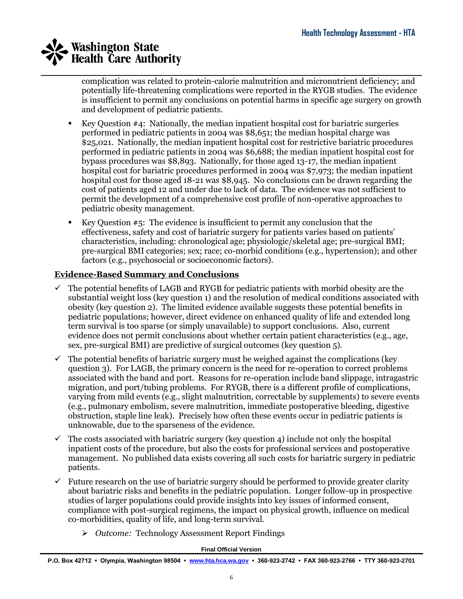\_\_\_\_\_\_\_\_\_\_\_\_\_\_\_\_\_\_\_\_\_\_\_\_\_\_\_\_\_\_\_\_\_\_\_\_\_\_\_\_\_\_\_\_\_\_\_\_\_\_\_\_\_\_\_\_\_\_\_\_\_\_\_\_\_\_\_\_\_\_\_\_\_\_\_\_\_\_\_\_\_\_\_\_ complication was related to protein-calorie malnutrition and micronutrient deficiency; and potentially life-threatening complications were reported in the RYGB studies. The evidence is insufficient to permit any conclusions on potential harms in specific age surgery on growth and development of pediatric patients.

- Key Question #4: Nationally, the median inpatient hospital cost for bariatric surgeries performed in pediatric patients in 2004 was \$8,651; the median hospital charge was \$25,021. Nationally, the median inpatient hospital cost for restrictive bariatric procedures performed in pediatric patients in 2004 was \$6,688; the median inpatient hospital cost for bypass procedures was \$8,893. Nationally, for those aged 13-17, the median inpatient hospital cost for bariatric procedures performed in 2004 was \$7,973; the median inpatient hospital cost for those aged 18-21 was \$8,945. No conclusions can be drawn regarding the cost of patients aged 12 and under due to lack of data. The evidence was not sufficient to permit the development of a comprehensive cost profile of non-operative approaches to pediatric obesity management.
- Exercise Key Question  $#5$ : The evidence is insufficient to permit any conclusion that the effectiveness, safety and cost of bariatric surgery for patients varies based on patients' characteristics, including: chronological age; physiologic/skeletal age; pre-surgical BMI; pre-surgical BMI categories; sex; race; co-morbid conditions (e.g., hypertension); and other factors (e.g., psychosocial or socioeconomic factors).

### **Evidence-Based Summary and Conclusions**

- $\checkmark$  The potential benefits of LAGB and RYGB for pediatric patients with morbid obesity are the substantial weight loss (key question 1) and the resolution of medical conditions associated with obesity (key question 2). The limited evidence available suggests these potential benefits in pediatric populations; however, direct evidence on enhanced quality of life and extended long term survival is too sparse (or simply unavailable) to support conclusions. Also, current evidence does not permit conclusions about whether certain patient characteristics (e.g., age, sex, pre-surgical BMI) are predictive of surgical outcomes (key question 5).
- The potential benefits of bariatric surgery must be weighed against the complications (key question 3). For LAGB, the primary concern is the need for re-operation to correct problems associated with the band and port. Reasons for re-operation include band slippage, intragastric migration, and port/tubing problems. For RYGB, there is a different profile of complications, varying from mild events (e.g., slight malnutrition, correctable by supplements) to severe events (e.g., pulmonary embolism, severe malnutrition, immediate postoperative bleeding, digestive obstruction, staple line leak). Precisely how often these events occur in pediatric patients is unknowable, due to the sparseness of the evidence.
- $\checkmark$  The costs associated with bariatric surgery (key question 4) include not only the hospital inpatient costs of the procedure, but also the costs for professional services and postoperative management. No published data exists covering all such costs for bariatric surgery in pediatric patients.
- $\checkmark$  Future research on the use of bariatric surgery should be performed to provide greater clarity about bariatric risks and benefits in the pediatric population. Longer follow-up in prospective studies of larger populations could provide insights into key issues of informed consent, compliance with post-surgical regimens, the impact on physical growth, influence on medical co-morbidities, quality of life, and long-term survival.
	- *Outcome:* Technology Assessment Report Findings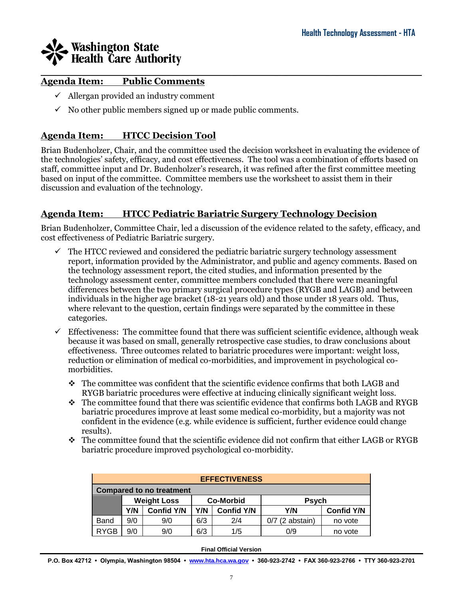

### **Agenda Item: Public Comments**

- $\checkmark$  Allergan provided an industry comment
- $\checkmark$  No other public members signed up or made public comments.

## **Agenda Item: HTCC Decision Tool**

Brian Budenholzer, Chair, and the committee used the decision worksheet in evaluating the evidence of the technologies' safety, efficacy, and cost effectiveness. The tool was a combination of efforts based on staff, committee input and Dr. Budenholzer's research, it was refined after the first committee meeting based on input of the committee. Committee members use the worksheet to assist them in their discussion and evaluation of the technology.

## **Agenda Item: HTCC Pediatric Bariatric Surgery Technology Decision**

Brian Budenholzer, Committee Chair, led a discussion of the evidence related to the safety, efficacy, and cost effectiveness of Pediatric Bariatric surgery.

- $\checkmark$  The HTCC reviewed and considered the pediatric bariatric surgery technology assessment report, information provided by the Administrator, and public and agency comments. Based on the technology assessment report, the cited studies, and information presented by the technology assessment center, committee members concluded that there were meaningful differences between the two primary surgical procedure types (RYGB and LAGB) and between individuals in the higher age bracket (18-21 years old) and those under 18 years old. Thus, where relevant to the question, certain findings were separated by the committee in these categories.
- $\checkmark$  Effectiveness: The committee found that there was sufficient scientific evidence, although weak because it was based on small, generally retrospective case studies, to draw conclusions about effectiveness. Three outcomes related to bariatric procedures were important: weight loss, reduction or elimination of medical co-morbidities, and improvement in psychological comorbidities.
	- $\cdot \cdot$  The committee was confident that the scientific evidence confirms that both LAGB and RYGB bariatric procedures were effective at inducing clinically significant weight loss.
	- $\cdot \cdot$  The committee found that there was scientific evidence that confirms both LAGB and RYGB bariatric procedures improve at least some medical co-morbidity, but a majority was not confident in the evidence (e.g. while evidence is sufficient, further evidence could change results).
	- The committee found that the scientific evidence did not confirm that either LAGB or RYGB bariatric procedure improved psychological co-morbidity.

| <b>EFFECTIVENESS</b>            |     |                    |                  |                   |                   |                   |  |
|---------------------------------|-----|--------------------|------------------|-------------------|-------------------|-------------------|--|
| <b>Compared to no treatment</b> |     |                    |                  |                   |                   |                   |  |
|                                 |     | <b>Weight Loss</b> | <b>Co-Morbid</b> |                   | <b>Psych</b>      |                   |  |
|                                 | Y/N | <b>Confid Y/N</b>  | Y/N              | <b>Confid Y/N</b> | Y/N               | <b>Confid Y/N</b> |  |
| Band                            | 9/0 | 9/0                | 6/3              | 2/4               | $0/7$ (2 abstain) | no vote           |  |
| <b>RYGB</b>                     | 9/0 | 9/0                | 6/3              | 1/5               | 0/9               | no vote           |  |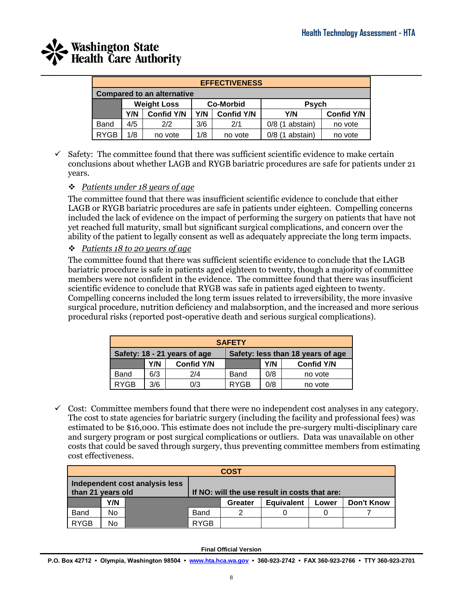

| <b>EFFECTIVENESS</b>              |     |                    |                  |                   |                   |                   |  |
|-----------------------------------|-----|--------------------|------------------|-------------------|-------------------|-------------------|--|
| <b>Compared to an alternative</b> |     |                    |                  |                   |                   |                   |  |
|                                   |     | <b>Weight Loss</b> | <b>Co-Morbid</b> |                   | <b>Psych</b>      |                   |  |
|                                   | Y/N | <b>Confid Y/N</b>  | Y/N              | <b>Confid Y/N</b> | Y/N               | <b>Confid Y/N</b> |  |
| Band                              | 4/5 | 2/2                | 3/6              | 2/1               | $0/8$ (1 abstain) | no vote           |  |
| <b>RYGB</b>                       | 1/8 | no vote            | 1/8              | no vote           | $0/8$ (1 abstain) | no vote           |  |

 $\checkmark$  Safety: The committee found that there was sufficient scientific evidence to make certain conclusions about whether LAGB and RYGB bariatric procedures are safe for patients under 21 years.

### *Patients under 18 years of age*

The committee found that there was insufficient scientific evidence to conclude that either LAGB or RYGB bariatric procedures are safe in patients under eighteen. Compelling concerns included the lack of evidence on the impact of performing the surgery on patients that have not yet reached full maturity, small but significant surgical complications, and concern over the ability of the patient to legally consent as well as adequately appreciate the long term impacts.

*Patients 18 to 20 years of age*

The committee found that there was sufficient scientific evidence to conclude that the LAGB bariatric procedure is safe in patients aged eighteen to twenty, though a majority of committee members were not confident in the evidence. The committee found that there was insufficient scientific evidence to conclude that RYGB was safe in patients aged eighteen to twenty. Compelling concerns included the long term issues related to irreversibility, the more invasive surgical procedure, nutrition deficiency and malabsorption, and the increased and more serious procedural risks (reported post-operative death and serious surgical complications).

| <b>SAFETY</b>                                                     |     |                   |             |     |                   |  |  |
|-------------------------------------------------------------------|-----|-------------------|-------------|-----|-------------------|--|--|
| Safety: 18 - 21 years of age<br>Safety: less than 18 years of age |     |                   |             |     |                   |  |  |
|                                                                   | Y/N | <b>Confid Y/N</b> |             | Y/N | <b>Confid Y/N</b> |  |  |
| Band                                                              | 6/3 | 2/4               | Band        | 0/8 | no vote           |  |  |
| <b>RYGB</b>                                                       | 3/6 | 0/3               | <b>RYGB</b> | 0/8 | no vote           |  |  |

 $\checkmark$  Cost: Committee members found that there were no independent cost analyses in any category. The cost to state agencies for bariatric surgery (including the facility and professional fees) was estimated to be \$16,000. This estimate does not include the pre-surgery multi-disciplinary care and surgery program or post surgical complications or outliers. Data was unavailable on other costs that could be saved through surgery, thus preventing committee members from estimating cost effectiveness.

| <b>COST</b>                                         |     |  |                                               |         |                   |       |                   |  |
|-----------------------------------------------------|-----|--|-----------------------------------------------|---------|-------------------|-------|-------------------|--|
| Independent cost analysis less<br>than 21 years old |     |  | If NO: will the use result in costs that are: |         |                   |       |                   |  |
|                                                     | Y/N |  |                                               | Greater | <b>Equivalent</b> | Lower | <b>Don't Know</b> |  |
| <b>Band</b>                                         | No  |  | Band                                          |         |                   |       |                   |  |
| <b>RYGB</b>                                         | No  |  | <b>RYGB</b>                                   |         |                   |       |                   |  |